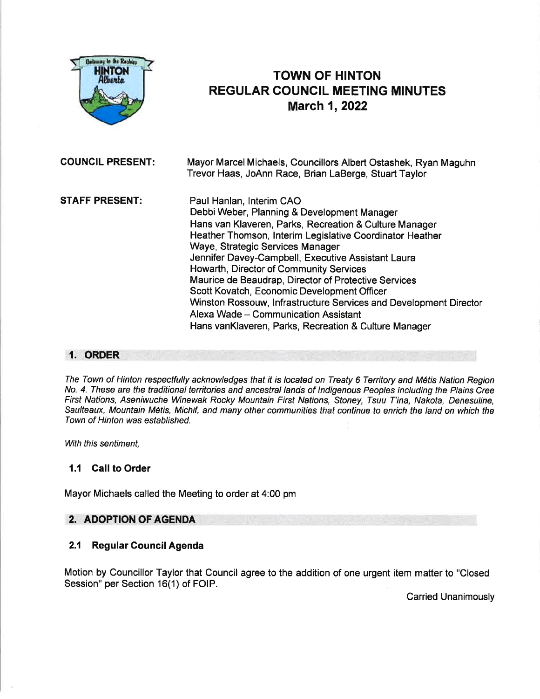

# TOWN OF HINTON REGULAR COUNCIL MEETING MINUTES March 1, 2022

COUNCIL PRESENT: Mayor MarcelMichaels, Councillors Albert Ostashek, Ryan Maguhn Trevor Haas, JoAnn Race, Brian LaBerge, Stuart Taylor STAFF PRESENT: Paul Hanlan, lnterim CAO Debbi Weber, Planning & Development Manager Hans van Klaveren, Parks, Recreation & Culture Manager Heather Thomson, lnterim Legislative Coordinator Heather Waye, Strategic Services Manager Jennifer Davey-Campbell, Executive Assistant Laura Howarth, Director of Community Services Maurice de Beaudrap, Director of Protective Services Scott Kovatch, Economic Development Officer Wnston Rossouw, lnfrastructure Services and Development Director Alexa Wade - Communication Assistant Hans vanKlaveren, Parks, Recreation & Culture Manager

#### 1. ORDER

The Town of Hinton respectfully acknowledges fhaf it is located on Treaty 6 Territory and M6tis Nation Region No. 4. These are the traditional territories and ancestral lands of Indigenous Peoples including the Plains Cree First Nations, Aseniwuche Winewak Rocky Mountain First Nations, Sfoney, Tsuu T'ina, Nakota, Denesuline, Saulteaux, Mountain M6tis, Michif, and many other communities that continue to enrich the land on which the Town of Hinton was established.

With this sentiment.

### 1.1 Call to Order

Mayor Michaels called the Meeting to order at 4:00 pm

### 2. ADOPTION OF AGENDA

#### 2.1 Regular Council Agenda

Motion by Councillor Taylor that Council agree to the addition of one urgent item matter to "Closed Session" per Section 16(1) of FOIP.

**Carried Unanimously**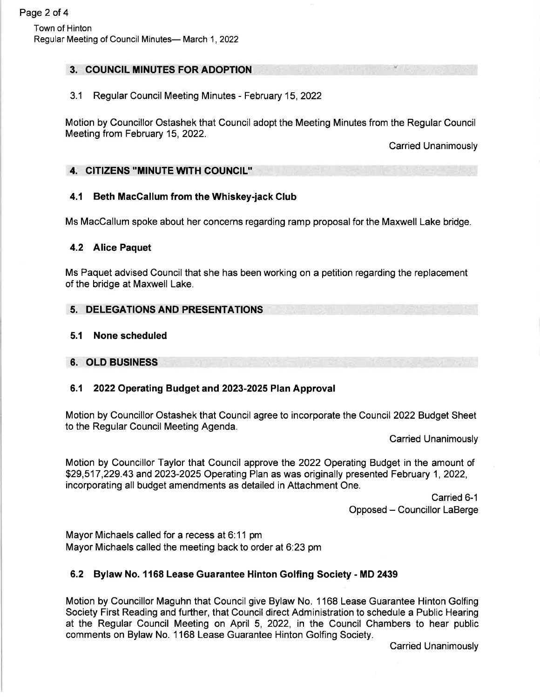# 3. COUNCIL MINUTES FOR ADOPTION

# 3.1 Regular Council Meeting Minutes - February 15,2022

Motion by Councillor Ostashek that Council adopt the Meeting Minutes from the Regular Council Meeting from February 15, 2022.

Carried Unanimously

# 4. CITIZENS "MINUTE WITH COUNCIL''

# 4.1 Beth MacGallum from the Whiskey-jack Glub

Ms MacCallum spoke about her concerns regarding ramp proposal for the Maxwell Lake bridge.

### 4.2 Alice Paquet

Ms Paquet advised Council that she has been working on a petition regarding the replacement of the bridge at Maxwell Lake.

### 5. DELEGATIONS AND PRESENTATIONS

### 5.1 None scheduled

6. OLD BUSINESS

# 6.1 2022Operating Budget and 2023-2025 Plan Approval

Motion by Councillor Ostashek that Council agree to incorporate the Council 2022 Budget Sheet to the Regular Council Meeting Agenda.

**Carried Unanimously** 

Motion by Councillor Taylor that Council approve the 2022 Operating Budget in the amount of \$29,517 ,229.43 and 2023-2025 Operating Plan as was originally presented February 1, 2022, incorporating all budget amendments as detailed in Attachment One.

> Carried 6-1 Opposed - Councillor LaBerge

Mayor Michaels called for a recess at 6:11 pm Mayor Michaels called the meeting back to order at 6:23 pm

# 6.2 Bylaw No. 1168 Lease Guarantee Hinton Golfing Society - MD 2439

Motion by Councillor Maguhn that Council give Bylaw No. 1 168 Lease Guarantee Hinton Golfing Society First Reading and further, that Council direct Administration to schedule a Public Hearing at the Regular Council Meeting on April 5, 2022, in the Council Chambers to hear public comments on Bylaw No. 1168 Lease Guarantee Hinton Golfing Society.

Carried Unanimously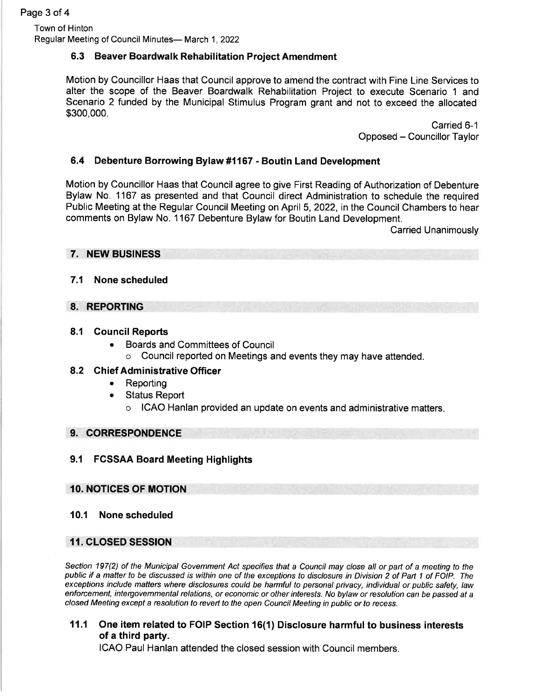Town of Hinton Regular Meeting of Council Minutes- March 1, 2022

### 6.3 Beaver Boardwalk Rehabilitation Project Amendment

Motion by Councillor Haas that Council approve to amend the contract with Fine Line Services to alter the scope of the Beaver Boardwalk Rehabilitation Project to execute Scenario 1 and Scenario 2 funded by the Municipal Stimulus Program grant and not to exceed the allocated \$300,000.

> Carried 6-1 Opposed - Councillor Taylor

### 6.4 Debenture Borrowing Bylaw #1167 - Boutin Land Development

Motion by Councillor Haas that Council agree to give First Reading of Authorization of Debenture Bylaw No. 1167 as presented and that Council direct Administration to schedule the required Public Meeting at the Regular Council Meeting on April 5,2022, in the Council Chambers to hear comments on Bylaw No. 1167 Debenture Bylaw for Boutin Land Development.

Carried Unanimously

#### 7. NEW BUSINESS

### 7.1 None scheduled

#### 8. REPORTING

#### 8.1 Gouncil Reports

- Boards and Committees of Council
	- o Council reported on Meetings and events they may have attended.

#### 8.2 Ghief Administrative Officer

- . Reporting
- . Status Report
	- o ICAO Hanlan provided an update on events and administrative matters

#### 9. CORRESPONDENCE

### 9.1 FGSSAA Board Meeting Highlights

#### 10. NOTICES OF MOTION

#### 10.1 None scheduled

### 11. CLOSED SESSION

Section 197(2) of the Municipal Govemment Act specifies that a Council may close all or part of a meeting to the public if a matter to be discussed is within one of the exceptions to disclosure in Division 2 of Part 1 of FOIP. The exceptions include mafters where disclosures could be harmful to personal pivacy, individual or public safety, law enforcement, intetgovemmental relations, or economic or other interesfs. No bylaw or resolution can be passed at a c/osed Meeting except a rcsolution to reveft to the open Council Meeting in public or fo recess.

11,1 One item related to FOIP Section 16(1) Disclosure harmful to business interests of a third party.

ICAO Paul Hanlan attended the closed session with Council members.